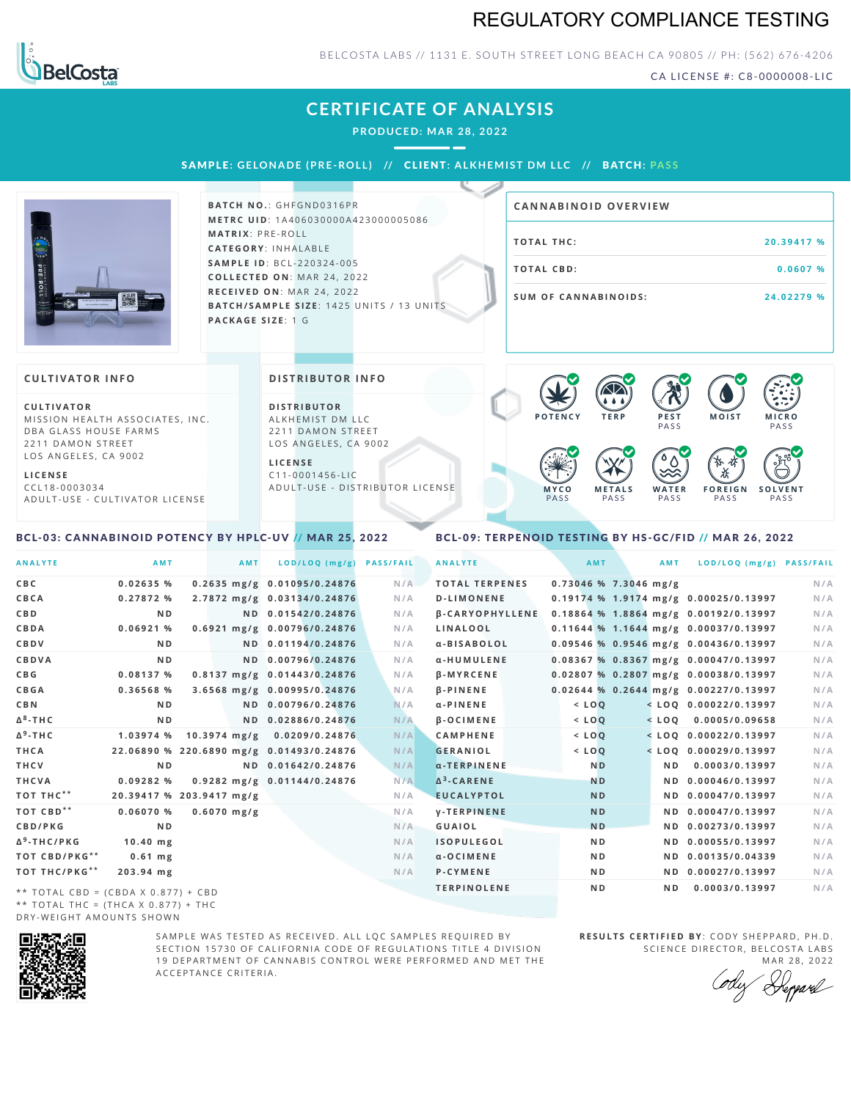# REGULATORY COMPLIANCE TESTING



### BELCOSTA LABS // 1131 E. SOUTH STREET LONG BEACH C A 90805 // PH: (562) 676-4206

CA LICENSE #: C8-0000008-LIC

**M O IS T M IC R O**

**PASS** 

# **CERTIFICATE OF ANALYSIS**

**PRODUCED: MA R 28, 2022**

SAMPL E **: GE LONADE (PRE -ROL L ) //** CL I ENT**: A LKHEMI ST DM L LC //** BATCH**: PA S S**



**BATCH NO.: GHFGND0316PR M E T R C U ID** :1 A 4 0 6 0 3 0 0 0 0 A 4 2 3 0 0 0 0 0 5 0 8 6 **M AT R I X** :P R E - R O L L **CAT E G O R Y** : I N H A L A B L E **SA M P L E I D** :B C L - 2 2 0 3 2 4 - 0 0 5  $COLLECTED ON: MAR 24, 2022$ **R E C E I V E D O N** : M A R 2 4 ,2 0 2 2 **BATCH/SAMPLE SIZE:** 1425 UNITS / 13 UNITS **PAC KA G E S I Z E** : 1 G

| <b>CANNABINOID OVERVIEW</b> |            |
|-----------------------------|------------|
| TOTAL THC:                  | 20.39417 % |
| TOTAL CBD:                  | 0.0607%    |
| <b>SUM OF CANNABINOIDS:</b> | 24.02279 % |

**P O T E N C Y T E R P P E S T PASS** 

 $\bullet$  60 60 60 60

#### **CULTIVATOR I N FO**

**C U L T I VAT O R** MISSION HEALTH ASSOCIATES, INC. D B A G L A S S HOUSE FARMS 2211 DAMON STREET LOS ANGELES, CA 9002

**L I C E N S E**

C C L 1 8 - 0 0 0 3 0 3 4 A D U L T - U S E - C U L T I V A T O R L I CENSE

#### **DI STRIBUTOR I N FO**

**D I S T R IB U T O R** ALKHEMIST DM LLC 2211 DAMON STREET LOS ANGELES, CA 9002

**L I C E N S E**  $C11 - 0001456 - UC$ A D U L T - U S E - DISTRIBUTOR LICENSE

<span id="page-0-1"></span>

#### <span id="page-0-0"></span>BCL-03: CANNABINOID POTENCY BY HPLC-UV // MAR 25, 2022 BCL-09: TERPENOID TESTING BY HS-GC/FID // MAR 26, 2022

ANALYTE AMT AMT LOD/LOO (mg/g) PASS/FAIL CBC 0.02635 % 0.2635 mg/g 0.01095/0.24876 N/A CBCA 0.27872 % 2.7872 mg/g 0.03134/0.24876 N/A **CB D N D N D 0 . 0 1 5 4 2 / 0 . 2 4 8 7 6 N /A** CBDA 0.06921 % 0.6921 mg/g 0.00796/0.24876 N/A **CB D V N D N D 0 . 0 1 1 9 4 / 0 . 2 4 8 7 6 N /A CB D VA N D N D 0 . 0 0 7 9 6 / 0 . 2 4 8 7 6 N /A** CBG 0.08137 % 0.8137 mg/g 0.01443/0.24876 N/A CBGA 0.36568 % 3.6568 mg/g 0.00995/0.24876 N/A **CB N N D N D 0 . 0 0 7 9 6 / 0 . 2 4 8 7 6 N /A** ND ND 0.02886/0.24876 N/A 1.03974 % 10.3974 mg/g 0.0209/0.24876 N/A THCA 22.06890 % 220.6890 mg/g 0.01493/0.24876 N/A THCV ND ND 0.01642/0.24876 N/A THCVA 0.09282 % 0.9282 mg/g 0.01144/0.24876 N/A 20.39417 % 203.9417 mg/g N/A 0.06070 % 0.6070 mg/g  $N/A$ **CB D / P K G N D N /A Δ - T H C / P K G 1 0 . 4 0 m g N /A T O T CB D / P K G 0 . 6 1 m g N /A \* \* T O T T H C / P K G 2 0 3 . 9 4 m g N /A \* \*** \*\* TOTAL CBD = (CBDA X 0.877) + CBD **8**  $A^9$ -THC **\* \* \* \* 9** ANALYTE AMT AMT LOD/LOO (mg/g) PASS/FAIL **TOTAL TERPENES** 0.73046 % 7.3046 mg/g N/A D-LIMONENE 0.19174 % 1.9174 mg/g 0.00025/0.13997 N/A B-CARYOPHYLLENE 0.18864 % 1.8864 mg/g 0.00192/0.13997 N/A LINALOOL 0.11644 % 1.1644 mg/g 0.00037/0.13997 N/A α-BISABOLOL 0.09546 % 0.9546 mg/g 0.00436/0.13997 N/A α-HUMULENE 0.08367 % 0.8367 mg/g 0.00047/0.13997 N/A β-MYRCENE 0.02807 % 0.2807 mg/g 0.00038/0.13997 N/A β-PINENE 0.02644 % 0.2644 mg/g 0.00227/0.13997 N/A  $\alpha$ -PINENE <LOQ <LOQ 0.00022/0.13997 N/A B-OCIMENE < LOO < LOO 0.0005/0.09658 N/A CAMPHENE <10Q <10Q <10Q 0.00022/0.13997 N/A GERANIOL <10Q <10Q <10Q +10Q +10Q +10Q +13997 +1/A α-TERPINENE **ND ND 0.0003/0.13997** N/A ND ND 0.00046/0.13997 N/A **EUCALYPTOL ND ND 0.00047/0.13997** N/A **V-TERPINENE ND ND 0.00047/0.13997** N/A GUAIOL ND ND ND 0.00273/0.13997 N/A ISOPULEGOL ND ND 0.00055/0.13997 N/A α-OCIMENE ND ND 0.00135/0.04339 N/A P-CYMENE ND ND 0.00027/0.13997 N/A TERPINOLENE ND ND 0.0003/0.13997 N/A A<sup>3</sup>-CARENE

\*\* TOTAL THC = (THCA X  $0.877$ ) + THC DRY-WEIGHT AMOUNTS SHOWN



SAMPLE WAS TESTED AS RECEIVED. ALL LOC SAMPLES REOUIRED BY SECTION 15730 OF CALIFORNIA CODE OF REGULATIONS TITLE 4 DIVISION 19 DEPARTMENT OF CANNABIS CONTROL WERE PERFORMED AND MET THE A C C E P T A N C E C R I T E R I A.

**RESULTS CERTIFIED BY: CODY SHEPPARD, PH.D.** SCIENCE DIRECTOR, BELCOSTA LABS

mar 28, 2022<br>'Prepard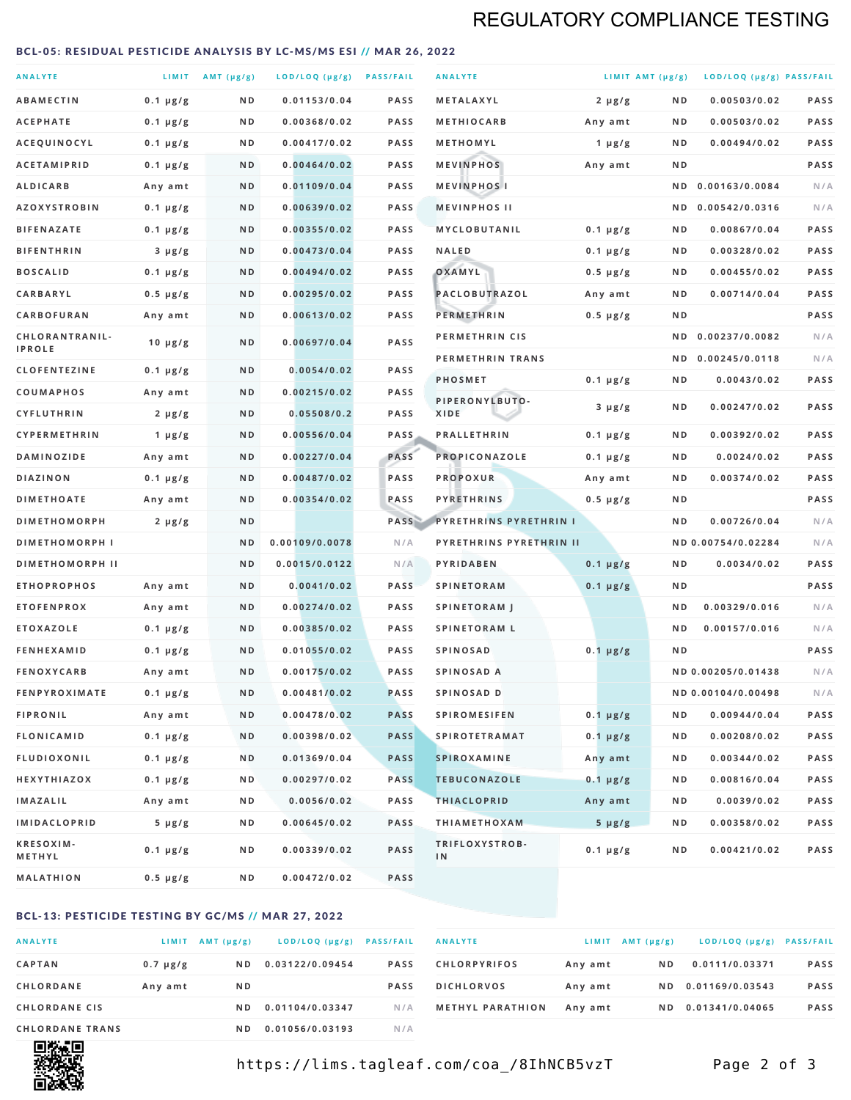# REGULATORY COMPLIANCE TESTING

### <span id="page-1-0"></span>BCL-05: RESIDUAL PESTICIDE ANALYSIS BY LC-MS/MS ESI // MAR 26, 2022

| <b>ANALYTE</b>                  |                  | LIMIT $AMT(\mu g/g)$ | LOD/LOQ (µg/g) PASS/FAIL |             | <b>ANALYTE</b>                | LIMIT AMT $(\mu g/g)$ |     | LOD/LOQ (µg/g) PASS/FAIL |             |
|---------------------------------|------------------|----------------------|--------------------------|-------------|-------------------------------|-----------------------|-----|--------------------------|-------------|
| <b>ABAMECTIN</b>                | $0.1 \mu g/g$    | N D                  | 0.01153/0.04             | <b>PASS</b> | <b>METALAXYL</b>              | $2 \mu g/g$           | N D | 0.00503/0.02             | <b>PASS</b> |
| <b>ACEPHATE</b>                 | $0.1 \mu g/g$    | ND                   | 0.00368/0.02             | <b>PASS</b> | <b>METHIOCARB</b>             | Any amt               | ND. | 0.00503/0.02             | PASS        |
| ACEQUINOCYL                     | $0.1 \mu g/g$    | N D                  | 0.00417/0.02             | <b>PASS</b> | METHOMYL                      | 1 $\mu$ g/g           | N D | 0.00494/0.02             | PASS        |
| <b>ACETAMIPRID</b>              | $0.1 \mu g/g$    | N D                  | 0.00464/0.02             | <b>PASS</b> | <b>MEVINPHOS</b>              | Any amt               | N D |                          | PASS        |
| <b>ALDICARB</b>                 | Any amt          | N D                  | 0.01109/0.04             | <b>PASS</b> | <b>MEVINPHOSI</b>             |                       | N D | 0.00163/0.0084           | N/A         |
| <b>AZOXYSTROBIN</b>             | $0.1 \mu g/g$    | N D                  | 0.00639/0.02             | <b>PASS</b> | <b>MEVINPHOS II</b>           |                       | N D | 0.00542/0.0316           | N/A         |
| <b>BIFENAZATE</b>               | $0.1 \mu g/g$    | N D                  | 0.00355/0.02             | <b>PASS</b> | <b>MYCLOBUTANIL</b>           | $0.1 \mu g/g$         | N D | 0.00867/0.04             | <b>PASS</b> |
| <b>BIFENTHRIN</b>               | $3 \mu g/g$      | N D                  | 0.00473/0.04             | <b>PASS</b> | <b>NALED</b>                  | $0.1 \mu g/g$         | ND. | 0.00328/0.02             | PASS        |
| <b>BOSCALID</b>                 | $0.1 \mu g/g$    | N D                  | 0.00494/0.02             | <b>PASS</b> | OXAMYL                        | $0.5 \mu g/g$         | ND. | 0.00455/0.02             | PASS        |
| <b>CARBARYL</b>                 | $0.5 \mu g/g$    | N D                  | 0.00295/0.02             | <b>PASS</b> | PACLOBUTRAZOL                 | Any amt               | N D | 0.00714/0.04             | <b>PASS</b> |
| CARBOFURAN                      | Any amt          | N D                  | 0.00613/0.02             | <b>PASS</b> | <b>PERMETHRIN</b>             | $0.5 \mu g/g$         | ND. |                          | PASS        |
| CHLORANTRANIL-<br><b>IPROLE</b> | $10 \mu g/g$     | N D                  | 0.00697/0.04             | PASS        | PERMETHRIN CIS                |                       | N D | 0.00237/0.0082           | N/A         |
| <b>CLOFENTEZINE</b>             | $0.1 \mu g/g$    | N D                  | 0.0054/0.02              | <b>PASS</b> | PERMETHRIN TRANS              |                       |     | ND 0.00245/0.0118        | N/A         |
| COUMAPHOS                       | Any amt          | ND                   | 0.00215/0.02             | <b>PASS</b> | <b>PHOSMET</b>                | $0.1 \mu g/g$         | N D | 0.0043/0.02              | PASS        |
| CYFLUTHRIN                      | $2 \mu g/g$      | ND                   | 0.05508/0.2              | <b>PASS</b> | PIPERONYLBUTO-<br><b>XIDE</b> | $3 \mu g/g$           | N D | 0.00247/0.02             | PASS        |
| <b>CYPERMETHRIN</b>             | 1 $\mu$ g/g      | N D                  | 0.00556/0.04             | <b>PASS</b> | <b>PRALLETHRIN</b>            | $0.1 \mu g/g$         | N D | 0.00392/0.02             | PASS        |
| <b>DAMINOZIDE</b>               | Any amt          | N D                  | 0.00227/0.04             | PASS        | PROPICONAZOLE                 | $0.1 \mu g/g$         | N D | 0.0024/0.02              | <b>PASS</b> |
| <b>DIAZINON</b>                 | $0.1 \mu g/g$    | N D                  | 0.00487/0.02             | PASS        | <b>PROPOXUR</b>               | Any amt               | ND. | 0.00374/0.02             | PASS        |
| <b>DIMETHOATE</b>               | Any amt          | N D                  | 0.00354/0.02             | PASS        | <b>PYRETHRINS</b>             | $0.5 \mu g/g$         | N D |                          | PASS        |
| <b>DIMETHOMORPH</b>             | $2 \mu g/g$      | N D                  |                          | PASS        | <b>PYRETHRINS PYRETHRIN I</b> |                       | ND  | 0.00726/0.04             | N/A         |
| <b>DIMETHOMORPH I</b>           |                  | ND                   | 0.00109/0.0078           | N/A         | PYRETHRINS PYRETHRIN II       |                       |     | ND 0.00754/0.02284       | N/A         |
| <b>DIMETHOMORPH II</b>          |                  | N <sub>D</sub>       | 0.0015/0.0122            | N/A         | PYRIDABEN                     | $0.1 \mu g/g$         | N D | 0.0034/0.02              | PASS        |
| <b>ETHOPROPHOS</b>              | Any amt          | N D                  | 0.0041/0.02              | <b>PASS</b> | <b>SPINETORAM</b>             | $0.1 \mu g/g$         | N D |                          | PASS        |
| <b>ETOFENPROX</b>               | Any amt          | N D                  | 0.00274/0.02             | <b>PASS</b> | <b>SPINETORAM J</b>           |                       | N D | 0.00329/0.016            | N/A         |
| <b>ETOXAZOLE</b>                | $0.1 \mu g/g$    | N D                  | 0.00385/0.02             | <b>PASS</b> | <b>SPINETORAM L</b>           |                       | N D | 0.00157/0.016            | N/A         |
| <b>FENHEXAMID</b>               | $0.1 \mu g/g$    | N D                  | 0.01055/0.02             | <b>PASS</b> | <b>SPINOSAD</b>               | $0.1 \mu g/g$         | N D |                          | <b>PASS</b> |
| <b>FENOXYCARB</b>               | Any amt          | ND                   | 0.00175/0.02             | <b>PASS</b> | SPINOSAD A                    |                       |     | ND 0.00205/0.01438       | N/A         |
| <b>FENPYROXIMATE</b>            | $0.1 \mu g/g$    | N D                  | 0.00481/0.02             | <b>PASS</b> | SPINOSAD D                    |                       |     | ND 0.00104/0.00498       | N/A         |
| <b>FIPRONIL</b>                 | Any amt          | N D                  | 0.00478/0.02             | <b>PASS</b> | <b>SPIROMESIFEN</b>           | $0.1 \mu g/g$         | N D | 0.00944/0.04             | PASS        |
| <b>FLONICAMID</b>               | $0.1 \mu g/g$    | N D                  | 0.00398/0.02             | <b>PASS</b> | <b>SPIROTETRAMAT</b>          | $0.1 \mu g/g$         | N D | 0.00208/0.02             | PASS        |
| <b>FLUDIOXONIL</b>              | $0.1 \, \mu g/g$ | N D                  | 0.01369/0.04             | <b>PASS</b> | <b>SPIROXAMINE</b>            | Any amt               | N D | 0.00344/0.02             | PASS        |
| <b>HEXYTHIAZOX</b>              | $0.1 \mu g/g$    | N D                  | 0.00297/0.02             | <b>PASS</b> | <b>TEBUCONAZOLE</b>           | $0.1 \mu g/g$         | N D | 0.00816/0.04             | PASS        |
| <b>IMAZALIL</b>                 | Any amt          | N D                  | 0.0056/0.02              | PASS        | <b>THIACLOPRID</b>            | Any amt               | ND. | 0.0039/0.02              | PASS        |
| <b>IMIDACLOPRID</b>             | $5 \mu g/g$      | N D                  | 0.00645/0.02             | <b>PASS</b> | <b>THIAMETHOXAM</b>           | $5 \mu g/g$           | N D | 0.00358/0.02             | PASS        |
| KRESOXIM-<br>METHYL             | $0.1 \mu g/g$    | N D                  | 0.00339/0.02             | PASS        | TRIFLOXYSTROB-<br>IN          | $0.1 \mu g/g$         | ND. | 0.00421/0.02             | PASS        |
| <b>MALATHION</b>                | $0.5 \mu g/g$    | N D                  | 0.00472/0.02             | PASS        |                               |                       |     |                          |             |

### BCL-13: PESTICIDE TESTING BY GC/MS // MAR 27, 2022

| <b>ANALYTE</b>         | LIMIT         | $AMT(\mu g/g)$ | LOD/LOQ (µg/g)  | <b>PASS/FAIL</b> |
|------------------------|---------------|----------------|-----------------|------------------|
| <b>CAPTAN</b>          | $0.7 \mu g/g$ | N D            | 0.03122/0.09454 | <b>PASS</b>      |
| <b>CHLORDANE</b>       | Any amt       | N <sub>D</sub> |                 | <b>PASS</b>      |
| <b>CHLORDANE CIS</b>   |               | ND.            | 0.01104/0.03347 | N/A              |
| <b>CHLORDANE TRANS</b> |               | N D            | 0.01056/0.03193 | N / A            |

| <b>ANALYTE</b>          |         | $LIMIT$ AMT $(\mu g/g)$ | LOD/LOQ (µg/g) PASS/FAIL |             |
|-------------------------|---------|-------------------------|--------------------------|-------------|
| <b>CHLORPYRIFOS</b>     | Any amt | N D                     | 0.0111/0.03371           | <b>PASS</b> |
| <b>DICHLORVOS</b>       | Any amt | ND.                     | 0.01169/0.03543          | <b>PASS</b> |
| <b>METHYL PARATHION</b> | Any amt | ND.                     | 0.01341/0.04065          | <b>PASS</b> |